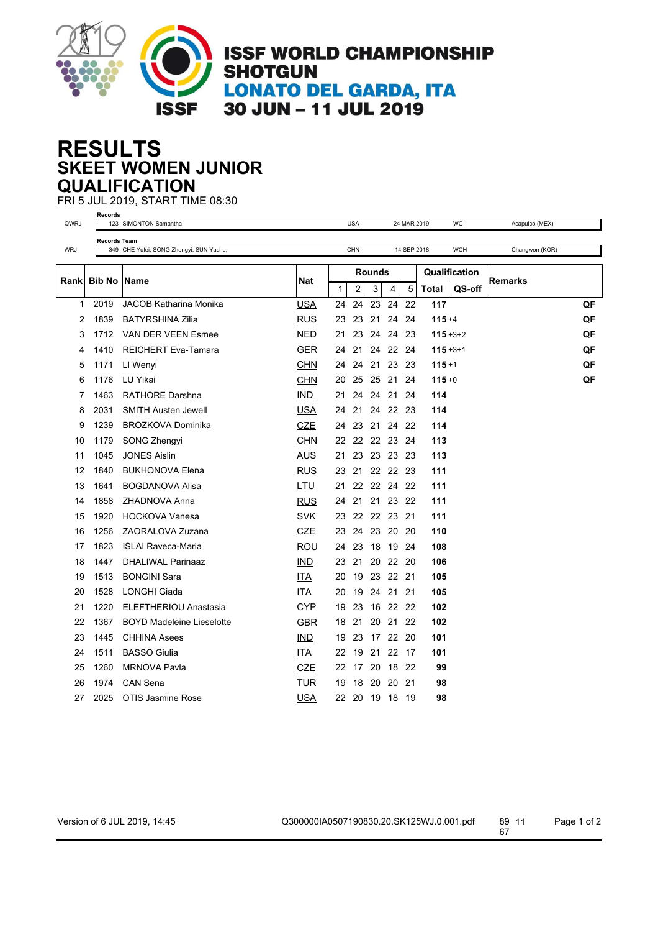

## **SKEET WOMEN JUNIOR RESULTS QUALIFICATION**

FRI 5 JUL 2019, START TIME 08:30 **Records**

| QWRJ  |                     | 123 SIMONTON Samantha                   |            |              | <b>USA</b>    |    |                | 24 MAR 2019 |               | WC            | Acapulco (MEX) |    |
|-------|---------------------|-----------------------------------------|------------|--------------|---------------|----|----------------|-------------|---------------|---------------|----------------|----|
|       | <b>Records Team</b> |                                         |            |              |               |    |                |             |               |               |                |    |
| WRJ   |                     | 349 CHE Yufei; SONG Zhengyi; SUN Yashu; |            |              | CHN           |    |                | 14 SEP 2018 |               | <b>WCH</b>    | Changwon (KOR) |    |
|       | <b>Bib No</b>       | <b>Name</b><br>Nat                      |            |              | <b>Rounds</b> |    |                |             | Qualification |               |                |    |
| Rankl |                     |                                         |            | $\mathbf{1}$ | 2             | 3  | 4              | 5           | <b>Total</b>  | QS-off        | <b>Remarks</b> |    |
| 1     | 2019                | <b>JACOB Katharina Monika</b>           | <b>USA</b> | 24           | 24            | 23 | 24             | 22          | 117           |               |                | QF |
| 2     | 1839                | <b>BATYRSHINA Zilia</b>                 | <b>RUS</b> | 23           | 23            |    | 21 24 24       |             | $115 + 4$     |               |                | QF |
| 3     | 1712                | VAN DER VEEN Esmee                      | <b>NED</b> | 21           | 23            | 24 | 24             | -23         |               | $115 + 3 + 2$ |                | QF |
| 4     | 1410                | <b>REICHERT Eva-Tamara</b>              | <b>GER</b> | 24           | 21            |    | 24 22 24       |             | $115 + 3 + 1$ |               |                | QF |
| 5     | 1171                | LI Wenyi                                | <b>CHN</b> | 24           |               |    | 24 21 23 23    |             | $115 + 1$     |               |                | QF |
| 6     | 1176                | LU Yikai                                | <b>CHN</b> | 20           | 25            |    | 25 21 24       |             | $115 + 0$     |               |                | QF |
| 7     | 1463                | <b>RATHORE Darshna</b>                  | IMD        | 21           | 24            |    | 24 21 24       |             | 114           |               |                |    |
| 8     | 2031                | <b>SMITH Austen Jewell</b>              | USA        | 24           | 21            |    | 24 22 23       |             | 114           |               |                |    |
| 9     | 1239                | <b>BROZKOVA Dominika</b>                | <b>CZE</b> | 24           | 23            |    | 21 24 22       |             | 114           |               |                |    |
| 10    | 1179                | SONG Zhengyi                            | <b>CHN</b> | 22           |               |    | 22 22 23 24    |             | 113           |               |                |    |
| 11    | 1045                | <b>JONES Aislin</b>                     | <b>AUS</b> | 21           |               |    | 23 23 23 23    |             | 113           |               |                |    |
| 12    | 1840                | <b>BUKHONOVA Elena</b>                  | <b>RUS</b> | 23           | 21            |    | 22 22 23       |             | 111           |               |                |    |
| 13    | 1641                | <b>BOGDANOVA Alisa</b>                  | LTU        | 21           |               |    | 22 22 24 22    |             | 111           |               |                |    |
| 14    | 1858                | ZHADNOVA Anna                           | <b>RUS</b> | 24           | 21            |    | 21 23 22       |             | 111           |               |                |    |
| 15    | 1920                | <b>HOCKOVA Vanesa</b>                   | <b>SVK</b> | 23           |               |    | 22 22 23 21    |             | 111           |               |                |    |
| 16    | 1256                | ZAORALOVA Zuzana                        | <b>CZE</b> | 23           | 24            |    | 23 20 20       |             | 110           |               |                |    |
| 17    | 1823                | <b>ISLAI Raveca-Maria</b>               | <b>ROU</b> | 24           | 23            |    | 18 19 24       |             | 108           |               |                |    |
| 18    | 1447                | <b>DHALIWAL Parinaaz</b>                | IND.       | 23           | 21            |    | 20 22 20       |             | 106           |               |                |    |
| 19    | 1513                | <b>BONGINI Sara</b>                     | ITA        | 20           | 19            |    | 23 22 21       |             | 105           |               |                |    |
| 20    | 1528                | <b>LONGHI Giada</b>                     | ITA.       | 20           | 19            |    | 24 21          | 21          | 105           |               |                |    |
| 21    | 1220                | <b>ELEFTHERIOU Anastasia</b>            | <b>CYP</b> | 19           | 23            |    | 16 22 22       |             | 102           |               |                |    |
| 22    | 1367                | <b>BOYD Madeleine Lieselotte</b>        | <b>GBR</b> | 18           | 21            |    | 20 21 22       |             | 102           |               |                |    |
| 23    | 1445                | <b>CHHINA Asees</b>                     | <b>IND</b> | 19           | 23            |    | 17 22          | 20          | 101           |               |                |    |
| 24    | 1511                | <b>BASSO Giulia</b>                     | <u>ITA</u> | 22           | 19            | 21 | 22             | -17         | 101           |               |                |    |
| 25    | 1260                | <b>MRNOVA Pavla</b>                     | <b>CZE</b> | 22           | 17            |    | 20 18 22       |             | 99            |               |                |    |
| 26    | 1974                | <b>CAN Sena</b>                         | <b>TUR</b> | 19           | 18            | 20 | 20             | 21          | 98            |               |                |    |
| 27    | 2025                | <b>OTIS Jasmine Rose</b>                | USA        |              |               |    | 22 20 19 18 19 |             | 98            |               |                |    |